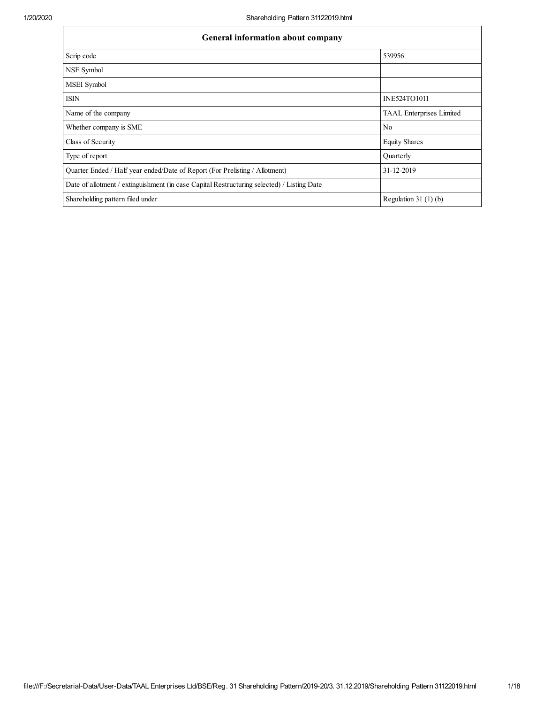| General information about company                                                          |                                 |  |  |  |  |
|--------------------------------------------------------------------------------------------|---------------------------------|--|--|--|--|
| Scrip code                                                                                 | 539956                          |  |  |  |  |
| NSE Symbol                                                                                 |                                 |  |  |  |  |
| <b>MSEI</b> Symbol                                                                         |                                 |  |  |  |  |
| <b>ISIN</b>                                                                                | <b>INE524TO1011</b>             |  |  |  |  |
| Name of the company                                                                        | <b>TAAL Enterprises Limited</b> |  |  |  |  |
| Whether company is SME                                                                     | N <sub>0</sub>                  |  |  |  |  |
| Class of Security                                                                          | <b>Equity Shares</b>            |  |  |  |  |
| Type of report                                                                             | Quarterly                       |  |  |  |  |
| Quarter Ended / Half year ended/Date of Report (For Prelisting / Allotment)                | 31-12-2019                      |  |  |  |  |
| Date of allotment / extinguishment (in case Capital Restructuring selected) / Listing Date |                                 |  |  |  |  |
| Shareholding pattern filed under                                                           | Regulation 31 $(1)$ $(b)$       |  |  |  |  |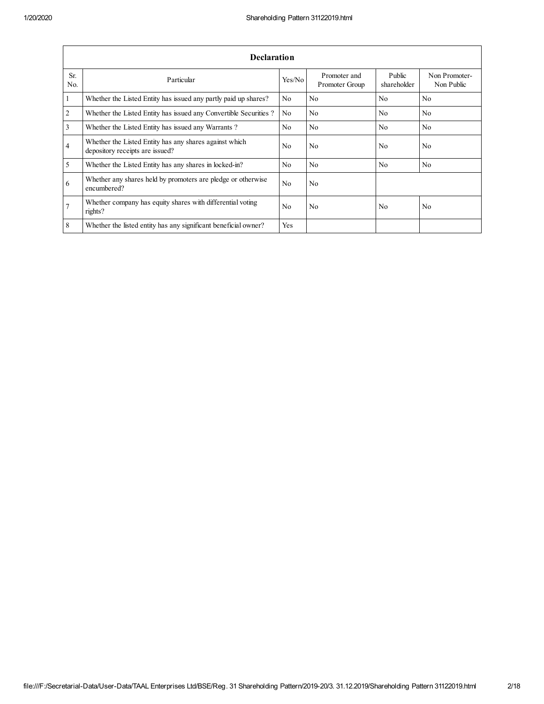|                       | <b>Declaration</b>                                                                        |                |                                |                       |                             |  |  |
|-----------------------|-------------------------------------------------------------------------------------------|----------------|--------------------------------|-----------------------|-----------------------------|--|--|
| Sr.<br>N <sub>0</sub> | Particular                                                                                | Yes/No         | Promoter and<br>Promoter Group | Public<br>shareholder | Non Promoter-<br>Non Public |  |  |
|                       | Whether the Listed Entity has issued any partly paid up shares?                           | N <sub>0</sub> | N <sub>0</sub>                 | N <sub>0</sub>        | No                          |  |  |
| 2                     | Whether the Listed Entity has issued any Convertible Securities?                          | N <sub>0</sub> | N <sub>0</sub>                 | N <sub>0</sub>        | N <sub>0</sub>              |  |  |
| 3                     | Whether the Listed Entity has issued any Warrants?                                        | N <sub>0</sub> | N <sub>0</sub>                 | N <sub>0</sub>        | N <sub>0</sub>              |  |  |
| 4                     | Whether the Listed Entity has any shares against which<br>depository receipts are issued? | No             | N <sub>0</sub>                 | N <sub>0</sub>        | N <sub>0</sub>              |  |  |
| 5                     | Whether the Listed Entity has any shares in locked-in?                                    | N <sub>0</sub> | N <sub>0</sub>                 | N <sub>0</sub>        | N <sub>0</sub>              |  |  |
| 6                     | Whether any shares held by promoters are pledge or otherwise<br>encumbered?               | No             | N <sub>0</sub>                 |                       |                             |  |  |
|                       | Whether company has equity shares with differential voting<br>rights?                     | N <sub>0</sub> | No                             | N <sub>0</sub>        | N <sub>0</sub>              |  |  |
| 8                     | Whether the listed entity has any significant beneficial owner?                           | Yes            |                                |                       |                             |  |  |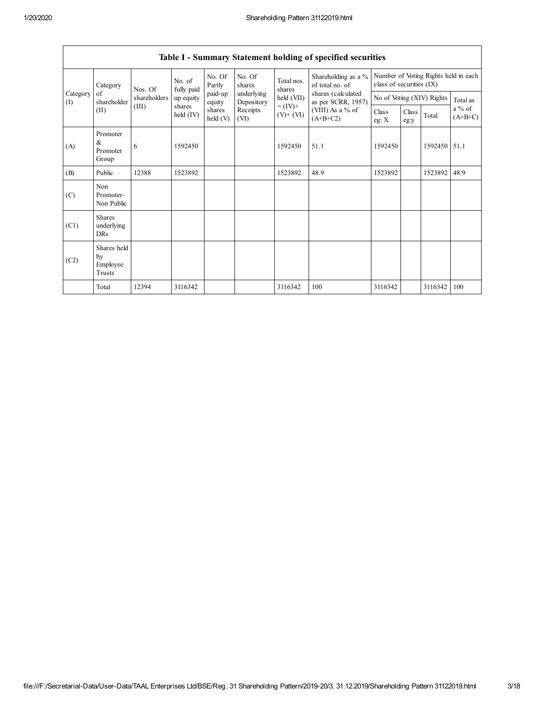Г

|                 | Table I - Summary Statement holding of specified securities |                              |                    |                   |                              |                                        |                                                                  |               |       |                           |          |
|-----------------|-------------------------------------------------------------|------------------------------|--------------------|-------------------|------------------------------|----------------------------------------|------------------------------------------------------------------|---------------|-------|---------------------------|----------|
| Category        | Nos. Of                                                     | No. of<br>fully paid         | No. Of<br>Partly   | No. Of<br>shares  | Total nos.<br>shares         | Shareholding as a %<br>of total no. of | Number of Voting Rights held in each<br>class of securities (IX) |               |       |                           |          |
| Category<br>(I) | of<br>shareholder                                           | shareholders                 | up equity          | paid-up<br>equity | underlying<br>Depository     | held (VII)                             | shares (calculated<br>as per SCRR, 1957)                         |               |       | No of Voting (XIV) Rights | Total as |
| (II)            | (III)                                                       | shares<br>$\text{held (IV)}$ | shares<br>held (V) | Receipts<br>(VI)  | $= (IV) +$<br>$(V)$ + $(VI)$ | (VIII) As a % of<br>$(A+B+C2)$         | Class<br>eg: $X$                                                 | Class<br>eg:y | Total | $a\%$ of<br>$(A+B+C)$     |          |
| (A)             | Promoter<br>&<br>Promoter<br>Group                          | 6                            | 1592450            |                   |                              | 1592450                                | 51.1                                                             | 1592450       |       | 1592450 51.1              |          |
| (B)             | Public                                                      | 12388                        | 1523892            |                   |                              | 1523892                                | 48.9                                                             | 1523892       |       | 1523892                   | 48.9     |
| (C)             | Non<br>Promoter-<br>Non Public                              |                              |                    |                   |                              |                                        |                                                                  |               |       |                           |          |
| (C1)            | <b>Shares</b><br>underlying<br>DRs                          |                              |                    |                   |                              |                                        |                                                                  |               |       |                           |          |
| (C2)            | Shares held<br>by<br>Employee<br>Trusts                     |                              |                    |                   |                              |                                        |                                                                  |               |       |                           |          |
|                 | Total                                                       | 12394                        | 3116342            |                   |                              | 3116342                                | 100                                                              | 3116342       |       | 3116342                   | 100      |

| Table I - Summary Statement holding of specified securities |  |
|-------------------------------------------------------------|--|
|-------------------------------------------------------------|--|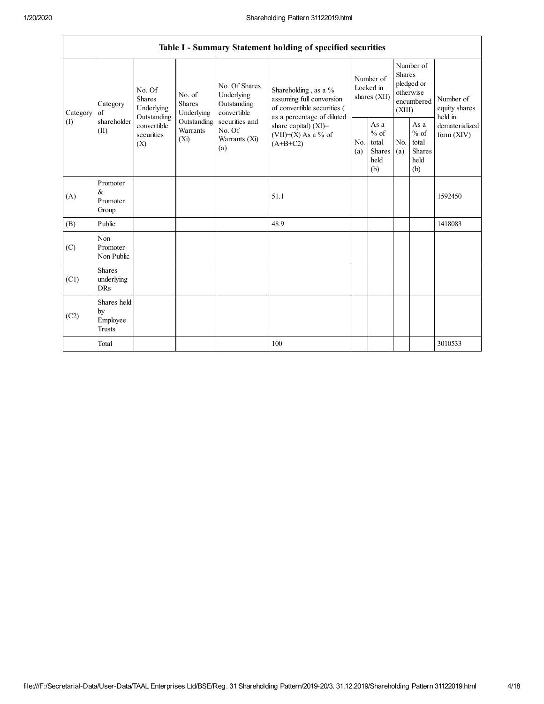|                            | Table I - Summary Statement holding of specified securities                                                      |                                           |                                                                                              |                                                                                 |                                                         |                       |                                                                               |                                |                                       |         |
|----------------------------|------------------------------------------------------------------------------------------------------------------|-------------------------------------------|----------------------------------------------------------------------------------------------|---------------------------------------------------------------------------------|---------------------------------------------------------|-----------------------|-------------------------------------------------------------------------------|--------------------------------|---------------------------------------|---------|
| Category<br>of<br>Category | No. Of<br><b>Shares</b><br>Underlying                                                                            | No. of<br><b>Shares</b><br>Underlying     | No. Of Shares<br>Underlying<br>Outstanding<br>convertible                                    | Shareholding, as a %<br>assuming full conversion<br>of convertible securities ( | Number of<br>Locked in<br>shares (XII)                  |                       | Number of<br><b>Shares</b><br>pledged or<br>otherwise<br>encumbered<br>(XIII) |                                | Number of<br>equity shares<br>held in |         |
| (I)                        | Outstanding<br>shareholder<br>Outstanding<br>convertible<br>Warrants<br>(II)<br>securities<br>(Xi)<br>(X)<br>(a) | securities and<br>No. Of<br>Warrants (Xi) | as a percentage of diluted<br>share capital) $(XI)$ =<br>$(VII)+(X)$ As a % of<br>$(A+B+C2)$ | N <sub>0</sub><br>(a)                                                           | As a<br>$%$ of<br>total<br><b>Shares</b><br>held<br>(b) | N <sub>0</sub><br>(a) | As a<br>$%$ of<br>total<br>Shares<br>held<br>(b)                              | dematerialized<br>form $(XIV)$ |                                       |         |
| (A)                        | Promoter<br>&<br>Promoter<br>Group                                                                               |                                           |                                                                                              |                                                                                 | 51.1                                                    |                       |                                                                               |                                |                                       | 1592450 |
| (B)                        | Public                                                                                                           |                                           |                                                                                              |                                                                                 | 48.9                                                    |                       |                                                                               |                                |                                       | 1418083 |
| (C)                        | Non<br>Promoter-<br>Non Public                                                                                   |                                           |                                                                                              |                                                                                 |                                                         |                       |                                                                               |                                |                                       |         |
| (C1)                       | <b>Shares</b><br>underlying<br><b>DRs</b>                                                                        |                                           |                                                                                              |                                                                                 |                                                         |                       |                                                                               |                                |                                       |         |
| (C2)                       | Shares held<br>by<br>Employee<br><b>Trusts</b>                                                                   |                                           |                                                                                              |                                                                                 |                                                         |                       |                                                                               |                                |                                       |         |
|                            | Total                                                                                                            |                                           |                                                                                              |                                                                                 | 100                                                     |                       |                                                                               |                                |                                       | 3010533 |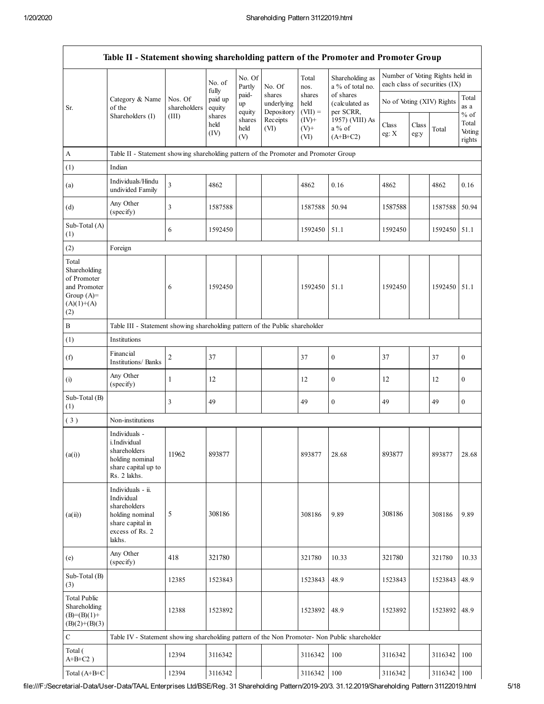$\Gamma$ 

|                                                                                             |                                                                                                                     |                                                                              | No. of                     | No. Of<br>Partly      | No. Of                             | Total<br>nos.               | Shareholding as<br>a % of total no.                                                   |                           |               | Number of Voting Rights held in<br>each class of securities (IX) |                                     |
|---------------------------------------------------------------------------------------------|---------------------------------------------------------------------------------------------------------------------|------------------------------------------------------------------------------|----------------------------|-----------------------|------------------------------------|-----------------------------|---------------------------------------------------------------------------------------|---------------------------|---------------|------------------------------------------------------------------|-------------------------------------|
| of the<br>Sr.                                                                               | Category & Name                                                                                                     | Nos. Of<br>shareholders                                                      | fully<br>paid up<br>equity | paid-<br>up<br>equity | shares<br>underlying<br>Depository | shares<br>held<br>$(VII) =$ | of shares<br>(calculated as<br>per SCRR,<br>1957) (VIII) As<br>$a\%$ of<br>$(A+B+C2)$ | No of Voting (XIV) Rights |               |                                                                  | Total<br>as a                       |
|                                                                                             | Shareholders (I)                                                                                                    | (III)                                                                        | shares<br>held<br>(IV)     | shares<br>held<br>(V) | Receipts<br>(VI)                   | $(IV)+$<br>$(V)+$<br>(VI)   |                                                                                       | Class<br>eg: $X$          | Class<br>eg:y | Total                                                            | $%$ of<br>Total<br>Voting<br>rights |
| $\boldsymbol{\rm{A}}$                                                                       | Table II - Statement showing shareholding pattern of the Promoter and Promoter Group                                |                                                                              |                            |                       |                                    |                             |                                                                                       |                           |               |                                                                  |                                     |
| (1)                                                                                         | Indian                                                                                                              |                                                                              |                            |                       |                                    |                             |                                                                                       |                           |               |                                                                  |                                     |
| (a)                                                                                         | Individuals/Hindu<br>undivided Family                                                                               | 3                                                                            | 4862                       |                       |                                    | 4862                        | 0.16                                                                                  | 4862                      |               | 4862                                                             | 0.16                                |
| (d)                                                                                         | Any Other<br>(specify)                                                                                              | 3                                                                            | 1587588                    |                       |                                    | 1587588                     | 50.94                                                                                 | 1587588                   |               | 1587588                                                          | 50.94                               |
| Sub-Total (A)<br>(1)                                                                        |                                                                                                                     | 6                                                                            | 1592450                    |                       |                                    | 1592450                     | 51.1                                                                                  | 1592450                   |               | 1592450 51.1                                                     |                                     |
| (2)                                                                                         | Foreign                                                                                                             |                                                                              |                            |                       |                                    |                             |                                                                                       |                           |               |                                                                  |                                     |
| Total<br>Shareholding<br>of Promoter<br>and Promoter<br>Group $(A)=$<br>$(A)(1)+(A)$<br>(2) |                                                                                                                     | 6                                                                            | 1592450                    |                       |                                    | 1592450                     | 51.1                                                                                  | 1592450                   |               | 1592450 51.1                                                     |                                     |
| $\, {\bf B}$                                                                                |                                                                                                                     | Table III - Statement showing shareholding pattern of the Public shareholder |                            |                       |                                    |                             |                                                                                       |                           |               |                                                                  |                                     |
| (1)                                                                                         | Institutions                                                                                                        |                                                                              |                            |                       |                                    |                             |                                                                                       |                           |               |                                                                  |                                     |
| (f)                                                                                         | Financial<br>Institutions/Banks                                                                                     | $\boldsymbol{2}$                                                             | 37                         |                       |                                    | 37                          | $\boldsymbol{0}$                                                                      | 37                        |               | 37                                                               | $\boldsymbol{0}$                    |
| (i)                                                                                         | Any Other<br>(specify)                                                                                              | 1                                                                            | 12                         |                       |                                    | 12                          | $\boldsymbol{0}$                                                                      | 12                        |               | 12                                                               | $\mathbf{0}$                        |
| Sub-Total (B)<br>(1)                                                                        |                                                                                                                     | 3                                                                            | 49                         |                       |                                    | 49                          | $\boldsymbol{0}$                                                                      | 49                        |               | 49                                                               | $\mathbf{0}$                        |
| (3)                                                                                         | Non-institutions                                                                                                    |                                                                              |                            |                       |                                    |                             |                                                                                       |                           |               |                                                                  |                                     |
| (a(i))                                                                                      | Individuals -<br>i.Individual<br>shareholders<br>holding nominal<br>share capital up to<br>Rs. 2 lakhs.             | 11962                                                                        | 893877                     |                       |                                    | 893877                      | 28.68                                                                                 | 893877                    |               | 893877                                                           | 28.68                               |
| (a(ii))                                                                                     | Individuals - ii.<br>Individual<br>shareholders<br>holding nominal<br>share capital in<br>excess of Rs. 2<br>lakhs. | 5                                                                            | 308186                     |                       |                                    | 308186                      | 9.89                                                                                  | 308186                    |               | 308186                                                           | 9.89                                |
| (e)                                                                                         | Any Other<br>(specify)                                                                                              | 418                                                                          | 321780                     |                       |                                    | 321780                      | 10.33                                                                                 | 321780                    |               | 321780                                                           | 10.33                               |
| Sub-Total (B)<br>(3)                                                                        |                                                                                                                     | 12385                                                                        | 1523843                    |                       |                                    | 1523843                     | 48.9                                                                                  | 1523843                   |               | 1523843                                                          | 48.9                                |
| <b>Total Public</b><br>Shareholding<br>$(B)=(B)(1)+$<br>$(B)(2)+(B)(3)$                     |                                                                                                                     | 12388                                                                        | 1523892                    |                       |                                    | 1523892                     | 48.9                                                                                  | 1523892                   |               | 1523892 48.9                                                     |                                     |
| $\mathbf C$                                                                                 | Table IV - Statement showing shareholding pattern of the Non Promoter- Non Public shareholder                       |                                                                              |                            |                       |                                    |                             |                                                                                       |                           |               |                                                                  |                                     |
| Total (<br>$A+B+C2$ )                                                                       |                                                                                                                     | 12394                                                                        | 3116342                    |                       |                                    | 3116342                     | 100                                                                                   | 3116342                   |               | 3116342                                                          | 100                                 |
| Total (A+B+C)                                                                               |                                                                                                                     | 12394                                                                        | 3116342                    |                       |                                    | 3116342                     | 100                                                                                   | 3116342                   |               | 3116342 100                                                      |                                     |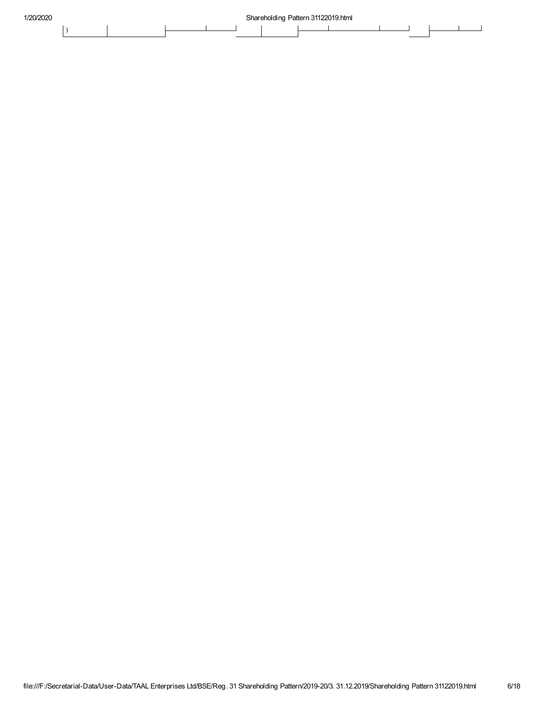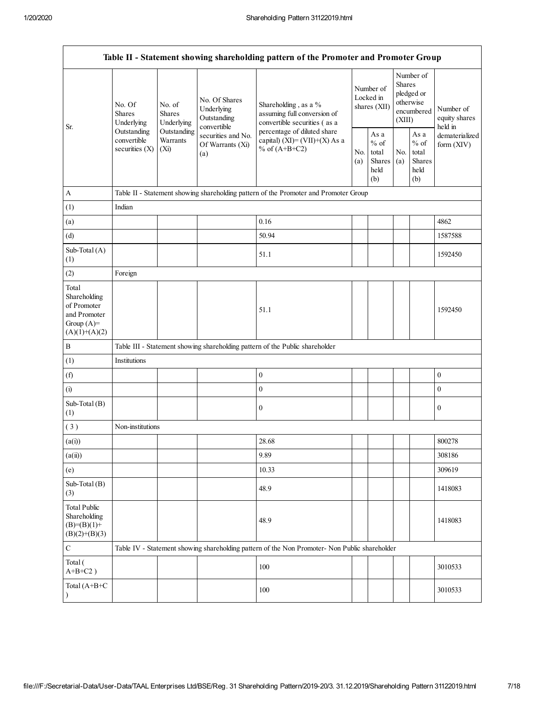| Table II - Statement showing shareholding pattern of the Promoter and Promoter Group    |                                                                                                                                                                                  |                                                           |                                                                                                                    |                                                                                               |  |                                                                               |            |                                                  |                              |
|-----------------------------------------------------------------------------------------|----------------------------------------------------------------------------------------------------------------------------------------------------------------------------------|-----------------------------------------------------------|--------------------------------------------------------------------------------------------------------------------|-----------------------------------------------------------------------------------------------|--|-------------------------------------------------------------------------------|------------|--------------------------------------------------|------------------------------|
| Sr.                                                                                     | No. Of<br>No. of<br><b>Shares</b><br><b>Shares</b><br>Underlying<br>Underlying<br>Outstanding<br>Outstanding<br>Warrants<br>convertible<br>securities $(X)$<br>(X <sub>i</sub> ) | No. Of Shares<br>Underlying<br>Outstanding<br>convertible | Shareholding, as a %<br>assuming full conversion of<br>convertible securities (as a<br>percentage of diluted share | Number of<br>Locked in<br>shares (XII)                                                        |  | Number of<br><b>Shares</b><br>pledged or<br>otherwise<br>encumbered<br>(XIII) |            | Number of<br>equity shares<br>held in            |                              |
|                                                                                         |                                                                                                                                                                                  |                                                           | securities and No.<br>Of Warrants (Xi)<br>(a)                                                                      | capital) $(XI) = (VII)+(X) As a$<br>% of $(A+B+C2)$                                           |  | As $\mathbf{a}$<br>$%$ of<br>total<br>Shares<br>held<br>(b)                   | No.<br>(a) | As a<br>$%$ of<br>total<br>Shares<br>held<br>(b) | dematerialized<br>form (XIV) |
| $\mathbf{A}$                                                                            |                                                                                                                                                                                  |                                                           |                                                                                                                    | Table II - Statement showing shareholding pattern of the Promoter and Promoter Group          |  |                                                                               |            |                                                  |                              |
| (1)                                                                                     | Indian                                                                                                                                                                           |                                                           |                                                                                                                    |                                                                                               |  |                                                                               |            |                                                  |                              |
| (a)                                                                                     |                                                                                                                                                                                  |                                                           |                                                                                                                    | 0.16                                                                                          |  |                                                                               |            |                                                  | 4862                         |
| (d)                                                                                     |                                                                                                                                                                                  |                                                           |                                                                                                                    | 50.94                                                                                         |  |                                                                               |            |                                                  | 1587588                      |
| Sub-Total (A)<br>(1)                                                                    |                                                                                                                                                                                  |                                                           |                                                                                                                    | 51.1                                                                                          |  |                                                                               |            |                                                  | 1592450                      |
| (2)                                                                                     | Foreign                                                                                                                                                                          |                                                           |                                                                                                                    |                                                                                               |  |                                                                               |            |                                                  |                              |
| Total<br>Shareholding<br>of Promoter<br>and Promoter<br>Group $(A)=$<br>$(A)(1)+(A)(2)$ |                                                                                                                                                                                  |                                                           |                                                                                                                    | 51.1                                                                                          |  |                                                                               |            |                                                  | 1592450                      |
| $\, {\bf B}$                                                                            |                                                                                                                                                                                  |                                                           |                                                                                                                    | Table III - Statement showing shareholding pattern of the Public shareholder                  |  |                                                                               |            |                                                  |                              |
| (1)                                                                                     | Institutions                                                                                                                                                                     |                                                           |                                                                                                                    |                                                                                               |  |                                                                               |            |                                                  |                              |
| (f)                                                                                     |                                                                                                                                                                                  |                                                           |                                                                                                                    | $\boldsymbol{0}$                                                                              |  |                                                                               |            |                                                  | $\boldsymbol{0}$             |
| (i)                                                                                     |                                                                                                                                                                                  |                                                           |                                                                                                                    | $\mathbf{0}$                                                                                  |  |                                                                               |            |                                                  | $\boldsymbol{0}$             |
| Sub-Total (B)<br>(1)                                                                    |                                                                                                                                                                                  |                                                           |                                                                                                                    | $\boldsymbol{0}$                                                                              |  |                                                                               |            |                                                  | $\boldsymbol{0}$             |
| (3)                                                                                     | Non-institutions                                                                                                                                                                 |                                                           |                                                                                                                    |                                                                                               |  |                                                                               |            |                                                  |                              |
| (a(i))                                                                                  |                                                                                                                                                                                  |                                                           |                                                                                                                    | 28.68                                                                                         |  |                                                                               |            |                                                  | 800278                       |
| (a(ii))                                                                                 |                                                                                                                                                                                  |                                                           |                                                                                                                    | 9.89                                                                                          |  |                                                                               |            |                                                  | 308186                       |
| (e)                                                                                     |                                                                                                                                                                                  |                                                           |                                                                                                                    | 10.33                                                                                         |  |                                                                               |            |                                                  | 309619                       |
| Sub-Total (B)<br>(3)                                                                    |                                                                                                                                                                                  |                                                           |                                                                                                                    | 48.9                                                                                          |  |                                                                               |            |                                                  | 1418083                      |
| <b>Total Public</b><br>Shareholding<br>$(B)=(B)(1)+$<br>$(B)(2)+(B)(3)$                 |                                                                                                                                                                                  |                                                           |                                                                                                                    | 48.9                                                                                          |  |                                                                               |            |                                                  | 1418083                      |
| $\mathsf C$                                                                             |                                                                                                                                                                                  |                                                           |                                                                                                                    | Table IV - Statement showing shareholding pattern of the Non Promoter- Non Public shareholder |  |                                                                               |            |                                                  |                              |
| Total (<br>$A+B+C2$ )                                                                   |                                                                                                                                                                                  |                                                           |                                                                                                                    | 100                                                                                           |  |                                                                               |            |                                                  | 3010533                      |
| Total (A+B+C                                                                            |                                                                                                                                                                                  |                                                           |                                                                                                                    | 100                                                                                           |  |                                                                               |            |                                                  | 3010533                      |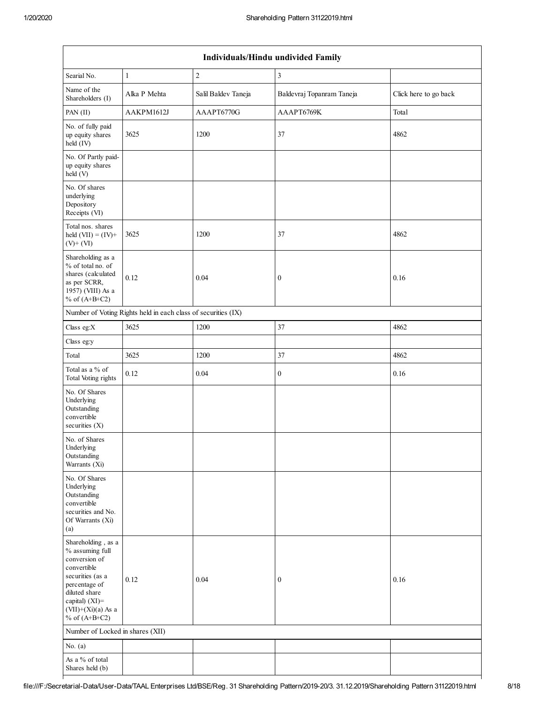| Individuals/Hindu undivided Family                                                                                                                                                          |                                                               |                     |                           |                       |  |  |  |
|---------------------------------------------------------------------------------------------------------------------------------------------------------------------------------------------|---------------------------------------------------------------|---------------------|---------------------------|-----------------------|--|--|--|
| Searial No.                                                                                                                                                                                 | $\mathbf{1}$                                                  | $\sqrt{2}$          | $\mathfrak{Z}$            |                       |  |  |  |
| Name of the<br>Shareholders (I)                                                                                                                                                             | Alka P Mehta                                                  | Salil Baldev Taneja | Baldevraj Topanram Taneja | Click here to go back |  |  |  |
| PAN (II)                                                                                                                                                                                    | AAKPM1612J                                                    | AAAPT6770G          | AAAPT6769K                | Total                 |  |  |  |
| No. of fully paid<br>up equity shares<br>held (IV)                                                                                                                                          | 3625                                                          | 1200                | 37                        | 4862                  |  |  |  |
| No. Of Partly paid-<br>up equity shares<br>held (V)                                                                                                                                         |                                                               |                     |                           |                       |  |  |  |
| No. Of shares<br>underlying<br>Depository<br>Receipts (VI)                                                                                                                                  |                                                               |                     |                           |                       |  |  |  |
| Total nos. shares<br>held $(VII) = (IV) +$<br>$(V)$ + $(VI)$                                                                                                                                | 3625                                                          | 1200                | 37                        | 4862                  |  |  |  |
| Shareholding as a<br>% of total no. of<br>shares (calculated<br>as per SCRR,<br>1957) (VIII) As a<br>% of $(A+B+C2)$                                                                        | 0.12                                                          | 0.04                | $\boldsymbol{0}$          | 0.16                  |  |  |  |
|                                                                                                                                                                                             | Number of Voting Rights held in each class of securities (IX) |                     |                           |                       |  |  |  |
| Class eg:X                                                                                                                                                                                  | 3625                                                          | 1200                | 37                        | 4862                  |  |  |  |
| Class eg:y                                                                                                                                                                                  |                                                               |                     |                           |                       |  |  |  |
| Total                                                                                                                                                                                       | 3625                                                          | 1200                | 37                        | 4862                  |  |  |  |
| Total as a % of<br>Total Voting rights                                                                                                                                                      | 0.12                                                          | 0.04                | $\boldsymbol{0}$          | 0.16                  |  |  |  |
| No. Of Shares<br>Underlying<br>Outstanding<br>convertible<br>securities $(X)$                                                                                                               |                                                               |                     |                           |                       |  |  |  |
| No. of Shares<br>Underlying<br>Outstanding<br>Warrants (Xi)                                                                                                                                 |                                                               |                     |                           |                       |  |  |  |
| No. Of Shares<br>Underlying<br>Outstanding<br>convertible<br>securities and No.<br>Of Warrants (Xi)<br>(a)                                                                                  |                                                               |                     |                           |                       |  |  |  |
| Shareholding, as a<br>% assuming full<br>conversion of<br>convertible<br>securities (as a<br>percentage of<br>diluted share<br>capital) $(XI)$ =<br>$(VII)+(Xi)(a)$ As a<br>% of $(A+B+C2)$ | 0.12                                                          | 0.04                | $\boldsymbol{0}$          | 0.16                  |  |  |  |
| Number of Locked in shares (XII)                                                                                                                                                            |                                                               |                     |                           |                       |  |  |  |
| No. $(a)$                                                                                                                                                                                   |                                                               |                     |                           |                       |  |  |  |
| As a % of total<br>Shares held (b)                                                                                                                                                          |                                                               |                     |                           |                       |  |  |  |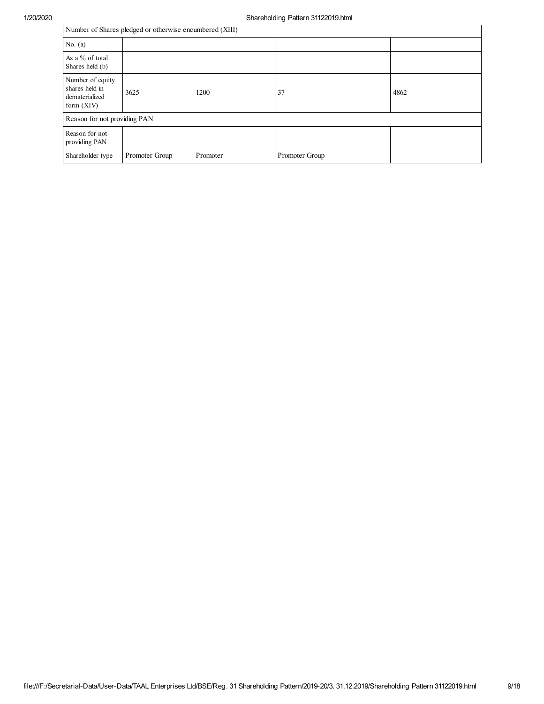Number of Shares pledged or otherwise encumbered (XIII)

| Number of Shares pledged or otherwise encumbered (XIII)              |                |          |                |      |  |
|----------------------------------------------------------------------|----------------|----------|----------------|------|--|
| No. $(a)$                                                            |                |          |                |      |  |
| As a % of total<br>Shares held (b)                                   |                |          |                |      |  |
| Number of equity<br>shares held in<br>dematerialized<br>form $(XIV)$ | 3625           | 1200     | 37             | 4862 |  |
| Reason for not providing PAN                                         |                |          |                |      |  |
| Reason for not<br>providing PAN                                      |                |          |                |      |  |
| Shareholder type                                                     | Promoter Group | Promoter | Promoter Group |      |  |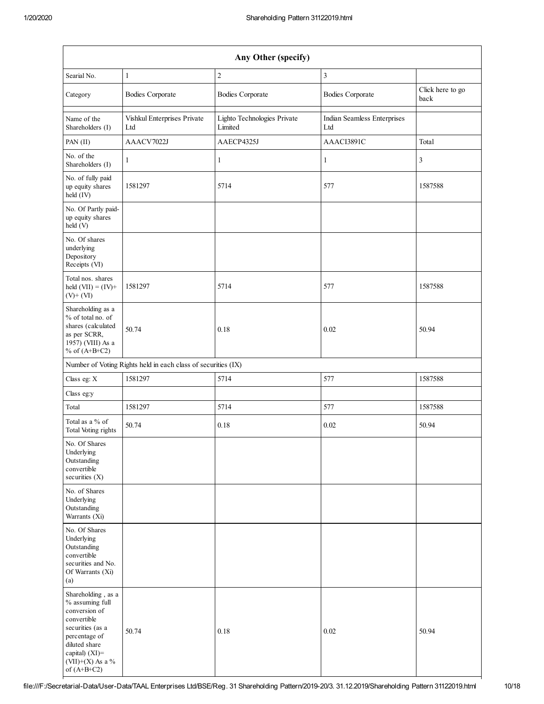| Any Other (specify)                                                                                                                                                                     |                                                               |                                        |                                    |                          |  |  |
|-----------------------------------------------------------------------------------------------------------------------------------------------------------------------------------------|---------------------------------------------------------------|----------------------------------------|------------------------------------|--------------------------|--|--|
| Searial No.                                                                                                                                                                             | $\mathbf{1}$                                                  | $\sqrt{2}$                             | $\overline{\mathbf{3}}$            |                          |  |  |
| Category                                                                                                                                                                                | <b>Bodies Corporate</b>                                       | <b>Bodies Corporate</b>                | <b>Bodies Corporate</b>            | Click here to go<br>back |  |  |
| Name of the<br>Shareholders (I)                                                                                                                                                         | Vishkul Enterprises Private<br>Ltd                            | Lighto Technologies Private<br>Limited | Indian Seamless Enterprises<br>Ltd |                          |  |  |
| PAN (II)                                                                                                                                                                                | AAACV7022J                                                    | AAECP4325J                             | AAACI3891C                         | Total                    |  |  |
| No. of the<br>Shareholders (I)                                                                                                                                                          | $\mathbf{1}$                                                  | 1                                      | $\mathbf{1}$                       | $\mathfrak{Z}$           |  |  |
| No. of fully paid<br>up equity shares<br>held (IV)                                                                                                                                      | 1581297                                                       | 5714                                   | 577                                | 1587588                  |  |  |
| No. Of Partly paid-<br>up equity shares<br>held (V)                                                                                                                                     |                                                               |                                        |                                    |                          |  |  |
| No. Of shares<br>underlying<br>Depository<br>Receipts (VI)                                                                                                                              |                                                               |                                        |                                    |                          |  |  |
| Total nos. shares<br>held $(VII) = (IV) +$<br>$(V)$ + $(VI)$                                                                                                                            | 1581297                                                       | 5714                                   | 577                                | 1587588                  |  |  |
| Shareholding as a<br>% of total no. of<br>shares (calculated<br>as per SCRR,<br>1957) (VIII) As a<br>% of $(A+B+C2)$                                                                    | 50.74                                                         | 0.18                                   | 0.02                               | 50.94                    |  |  |
|                                                                                                                                                                                         | Number of Voting Rights held in each class of securities (IX) |                                        |                                    |                          |  |  |
| Class eg: X                                                                                                                                                                             | 1581297                                                       | 5714                                   | 577                                | 1587588                  |  |  |
| Class eg:y                                                                                                                                                                              |                                                               |                                        |                                    |                          |  |  |
| Total                                                                                                                                                                                   | 1581297                                                       | 5714                                   | 577                                | 1587588                  |  |  |
| Total as a % of<br>Total Voting rights                                                                                                                                                  | 50.74                                                         | 0.18                                   | 0.02                               | 50.94                    |  |  |
| No. Of Shares<br>Underlying<br>Outstanding<br>convertible<br>securities (X)                                                                                                             |                                                               |                                        |                                    |                          |  |  |
| No. of Shares<br>Underlying<br>Outstanding<br>Warrants (Xi)                                                                                                                             |                                                               |                                        |                                    |                          |  |  |
| No. Of Shares<br>Underlying<br>Outstanding<br>convertible<br>securities and No.<br>Of Warrants (Xi)<br>(a)                                                                              |                                                               |                                        |                                    |                          |  |  |
| Shareholding, as a<br>% assuming full<br>conversion of<br>convertible<br>securities (as a<br>percentage of<br>diluted share<br>capital) $(XI)$ =<br>$(VII)+(X)$ As a %<br>of $(A+B+C2)$ | 50.74                                                         | 0.18                                   | 0.02                               | 50.94                    |  |  |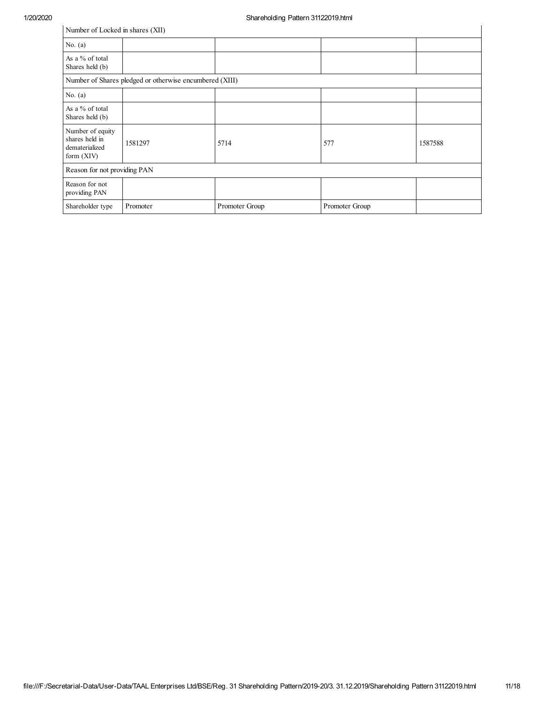| Number of Locked in shares (XII)                                   |                                                         |                |                |         |
|--------------------------------------------------------------------|---------------------------------------------------------|----------------|----------------|---------|
| No. $(a)$                                                          |                                                         |                |                |         |
| As a % of total<br>Shares held (b)                                 |                                                         |                |                |         |
|                                                                    | Number of Shares pledged or otherwise encumbered (XIII) |                |                |         |
| No. $(a)$                                                          |                                                         |                |                |         |
| As a % of total<br>Shares held (b)                                 |                                                         |                |                |         |
| Number of equity<br>shares held in<br>dematerialized<br>form (XIV) | 1581297                                                 | 5714           | 577            | 1587588 |
| Reason for not providing PAN                                       |                                                         |                |                |         |
| Reason for not<br>providing PAN                                    |                                                         |                |                |         |
| Shareholder type                                                   | Promoter                                                | Promoter Group | Promoter Group |         |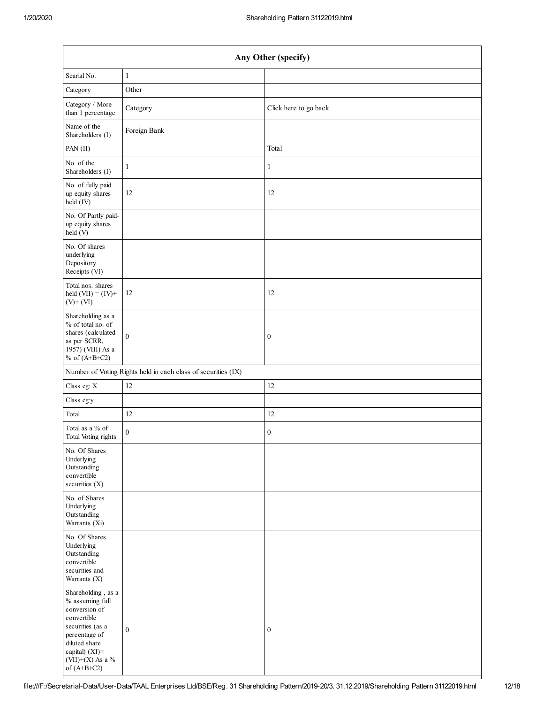| Any Other (specify)                                                                                                                                                                  |                                                               |                       |  |  |  |  |
|--------------------------------------------------------------------------------------------------------------------------------------------------------------------------------------|---------------------------------------------------------------|-----------------------|--|--|--|--|
| Searial No.                                                                                                                                                                          | $\mathbf{1}$                                                  |                       |  |  |  |  |
| Category                                                                                                                                                                             | Other                                                         |                       |  |  |  |  |
| Category / More<br>than 1 percentage                                                                                                                                                 | Category                                                      | Click here to go back |  |  |  |  |
| Name of the<br>Shareholders (I)                                                                                                                                                      | Foreign Bank                                                  |                       |  |  |  |  |
| PAN (II)                                                                                                                                                                             |                                                               | Total                 |  |  |  |  |
| No. of the<br>Shareholders (I)                                                                                                                                                       | $\mathbf{1}$                                                  | 1                     |  |  |  |  |
| No. of fully paid<br>up equity shares<br>held (IV)                                                                                                                                   | 12                                                            | 12                    |  |  |  |  |
| No. Of Partly paid-<br>up equity shares<br>held (V)                                                                                                                                  |                                                               |                       |  |  |  |  |
| No. Of shares<br>underlying<br>Depository<br>Receipts (VI)                                                                                                                           |                                                               |                       |  |  |  |  |
| Total nos. shares<br>held $(VII) = (IV) +$<br>$(V)$ + $(VI)$                                                                                                                         | 12                                                            | 12                    |  |  |  |  |
| Shareholding as a<br>% of total no. of<br>shares (calculated<br>as per SCRR,<br>1957) (VIII) As a<br>% of $(A+B+C2)$                                                                 | $\boldsymbol{0}$                                              | $\boldsymbol{0}$      |  |  |  |  |
|                                                                                                                                                                                      | Number of Voting Rights held in each class of securities (IX) |                       |  |  |  |  |
| Class eg: $\mathbf X$                                                                                                                                                                | $12\,$                                                        | $12 \,$               |  |  |  |  |
| Class eg:y                                                                                                                                                                           |                                                               |                       |  |  |  |  |
| Total                                                                                                                                                                                | $12\,$                                                        | $12 \,$               |  |  |  |  |
| Total as a % of<br>Total Voting rights                                                                                                                                               | $\mathbf{0}$                                                  | $\boldsymbol{0}$      |  |  |  |  |
| No. Of Shares<br>Underlying<br>Outstanding<br>convertible<br>securities (X)                                                                                                          |                                                               |                       |  |  |  |  |
| No. of Shares<br>Underlying<br>Outstanding<br>Warrants (Xi)                                                                                                                          |                                                               |                       |  |  |  |  |
| No. Of Shares<br>Underlying<br>Outstanding<br>convertible<br>securities and<br>Warrants (X)                                                                                          |                                                               |                       |  |  |  |  |
| Shareholding, as a<br>% assuming full<br>conversion of<br>convertible<br>securities (as a<br>percentage of<br>diluted share<br>capital) (XI)=<br>$(VII)+(X)$ As a %<br>of $(A+B+C2)$ | $\boldsymbol{0}$                                              | $\boldsymbol{0}$      |  |  |  |  |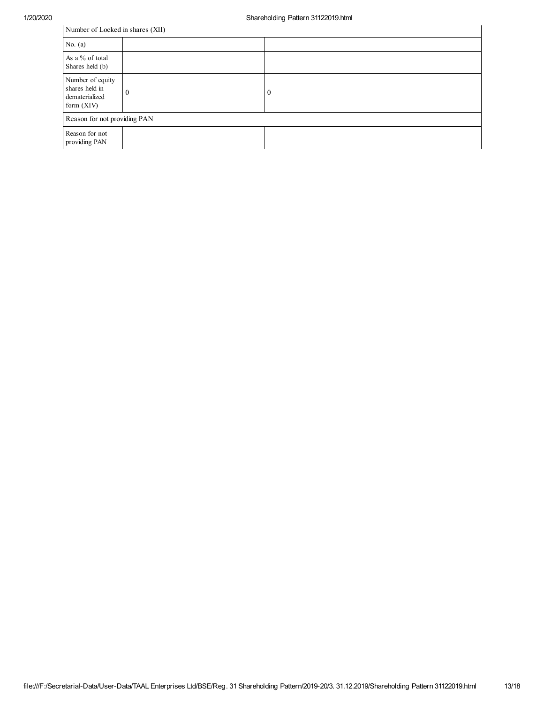|  |  | Number of Locked in shares (XII) |
|--|--|----------------------------------|
|--|--|----------------------------------|

| Number of Locked in shares (XII)                                     |                |              |  |  |  |  |  |  |
|----------------------------------------------------------------------|----------------|--------------|--|--|--|--|--|--|
| No. $(a)$                                                            |                |              |  |  |  |  |  |  |
| As a % of total<br>Shares held (b)                                   |                |              |  |  |  |  |  |  |
| Number of equity<br>shares held in<br>dematerialized<br>form $(XIV)$ | $\overline{0}$ | $\mathbf{0}$ |  |  |  |  |  |  |
| Reason for not providing PAN                                         |                |              |  |  |  |  |  |  |
| Reason for not<br>providing PAN                                      |                |              |  |  |  |  |  |  |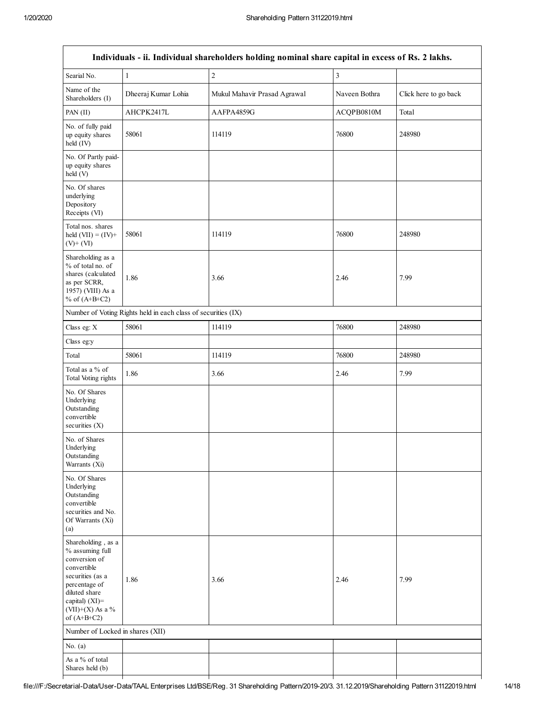| Individuals - ii. Individual shareholders holding nominal share capital in excess of Rs. 2 lakhs.                                                                                               |                                                               |                              |               |                       |  |  |  |  |  |  |
|-------------------------------------------------------------------------------------------------------------------------------------------------------------------------------------------------|---------------------------------------------------------------|------------------------------|---------------|-----------------------|--|--|--|--|--|--|
| Searial No.                                                                                                                                                                                     | $\mathbf{1}$                                                  | $\boldsymbol{2}$             | 3             |                       |  |  |  |  |  |  |
| Name of the<br>Shareholders (I)                                                                                                                                                                 | Dheeraj Kumar Lohia                                           | Mukul Mahavir Prasad Agrawal | Naveen Bothra | Click here to go back |  |  |  |  |  |  |
| PAN (II)                                                                                                                                                                                        | AHCPK2417L                                                    | AAFPA4859G                   | ACQPB0810M    | Total                 |  |  |  |  |  |  |
| No. of fully paid<br>up equity shares<br>held (IV)                                                                                                                                              | 58061                                                         | 114119                       | 76800         | 248980                |  |  |  |  |  |  |
| No. Of Partly paid-<br>up equity shares<br>held (V)                                                                                                                                             |                                                               |                              |               |                       |  |  |  |  |  |  |
| No. Of shares<br>underlying<br>Depository<br>Receipts (VI)                                                                                                                                      |                                                               |                              |               |                       |  |  |  |  |  |  |
| Total nos. shares<br>held $(VII) = (IV) +$<br>$(V)$ + $(VI)$                                                                                                                                    | 58061                                                         | 114119                       | 76800         | 248980                |  |  |  |  |  |  |
| Shareholding as a<br>% of total no. of<br>shares (calculated<br>as per SCRR,<br>1957) (VIII) As a<br>% of $(A+B+C2)$                                                                            | 1.86                                                          | 3.66                         | 2.46          | 7.99                  |  |  |  |  |  |  |
|                                                                                                                                                                                                 | Number of Voting Rights held in each class of securities (IX) |                              |               |                       |  |  |  |  |  |  |
| Class eg: X                                                                                                                                                                                     | 58061                                                         | 114119                       | 76800         | 248980                |  |  |  |  |  |  |
| Class eg:y                                                                                                                                                                                      |                                                               |                              |               |                       |  |  |  |  |  |  |
| Total                                                                                                                                                                                           | 58061                                                         | 114119                       | 76800         | 248980                |  |  |  |  |  |  |
| Total as a % of<br>Total Voting rights                                                                                                                                                          | 1.86                                                          | 3.66                         | 2.46          | 7.99                  |  |  |  |  |  |  |
| No. Of Shares<br>Underlying<br>Outstanding<br>convertible<br>securities (X)                                                                                                                     |                                                               |                              |               |                       |  |  |  |  |  |  |
| No. of Shares<br>Underlying<br>Outstanding<br>Warrants (Xi)                                                                                                                                     |                                                               |                              |               |                       |  |  |  |  |  |  |
| No. Of Shares<br>Underlying<br>Outstanding<br>convertible<br>securities and No.<br>Of Warrants (Xi)<br>(a)                                                                                      |                                                               |                              |               |                       |  |  |  |  |  |  |
| Shareholding, as a<br>% assuming full<br>conversion of<br>convertible<br>securities (as a<br>1.86<br>percentage of<br>diluted share<br>capital) $(XI)$ =<br>$(VII)+(X)$ As a %<br>of $(A+B+C2)$ |                                                               | 3.66                         | 2.46          | 7.99                  |  |  |  |  |  |  |
| Number of Locked in shares (XII)                                                                                                                                                                |                                                               |                              |               |                       |  |  |  |  |  |  |
| No. $(a)$                                                                                                                                                                                       |                                                               |                              |               |                       |  |  |  |  |  |  |
| As a % of total<br>Shares held (b)                                                                                                                                                              |                                                               |                              |               |                       |  |  |  |  |  |  |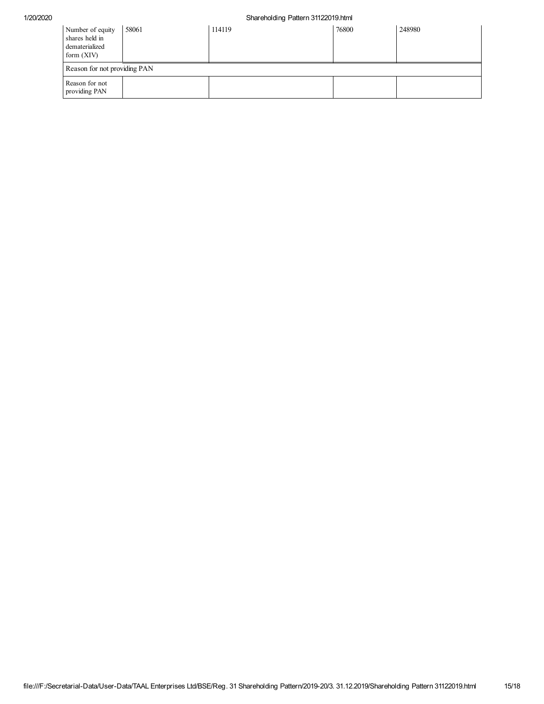## 1/20/2020 Shareholding Pattern 31122019.html

| Number of equity<br>shares held in<br>dematerialized<br>form $(XIV)$ | 58061 | 114119 | 76800 | 248980 |  |  |  |  |
|----------------------------------------------------------------------|-------|--------|-------|--------|--|--|--|--|
| Reason for not providing PAN                                         |       |        |       |        |  |  |  |  |
| Reason for not<br>providing PAN                                      |       |        |       |        |  |  |  |  |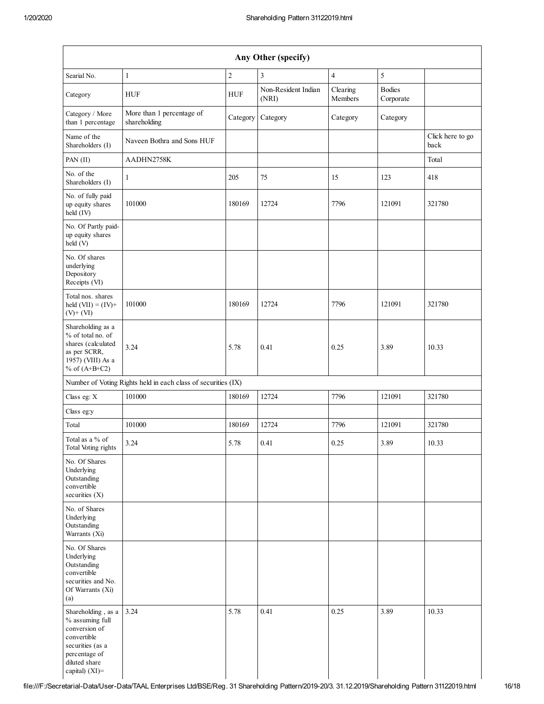| Any Other (specify)                                                                                                                           |                                                               |            |                              |                     |                            |                          |  |  |  |  |
|-----------------------------------------------------------------------------------------------------------------------------------------------|---------------------------------------------------------------|------------|------------------------------|---------------------|----------------------------|--------------------------|--|--|--|--|
| Searial No.                                                                                                                                   | $\mathbf{1}$                                                  | $\sqrt{2}$ | $\mathfrak{Z}$               | $\overline{4}$      | 5                          |                          |  |  |  |  |
| Category                                                                                                                                      | <b>HUF</b>                                                    |            | Non-Resident Indian<br>(NRI) | Clearing<br>Members | <b>Bodies</b><br>Corporate |                          |  |  |  |  |
| Category / More<br>than 1 percentage                                                                                                          | More than 1 percentage of<br>shareholding                     | Category   | Category                     | Category            | Category                   |                          |  |  |  |  |
| Name of the<br>Shareholders (I)                                                                                                               | Naveen Bothra and Sons HUF                                    |            |                              |                     |                            | Click here to go<br>back |  |  |  |  |
| PAN (II)                                                                                                                                      | AADHN2758K                                                    |            |                              |                     |                            | Total                    |  |  |  |  |
| No. of the<br>Shareholders (I)                                                                                                                | 1                                                             | 205        | 75                           | 15                  | 123                        | 418                      |  |  |  |  |
| No. of fully paid<br>up equity shares<br>held (IV)                                                                                            | 101000                                                        | 180169     | 12724                        | 7796                | 121091                     | 321780                   |  |  |  |  |
| No. Of Partly paid-<br>up equity shares<br>held (V)                                                                                           |                                                               |            |                              |                     |                            |                          |  |  |  |  |
| No. Of shares<br>underlying<br>Depository<br>Receipts (VI)                                                                                    |                                                               |            |                              |                     |                            |                          |  |  |  |  |
| Total nos. shares<br>held $(VII) = (IV) +$<br>$(V)$ + $(VI)$                                                                                  | 101000                                                        | 180169     | 12724                        | 7796                | 121091                     | 321780                   |  |  |  |  |
| Shareholding as a<br>% of total no. of<br>shares (calculated<br>3.24<br>as per SCRR,<br>1957) (VIII) As a<br>% of $(A+B+C2)$                  |                                                               | 5.78       | 0.41                         | 0.25                | 3.89                       | 10.33                    |  |  |  |  |
|                                                                                                                                               | Number of Voting Rights held in each class of securities (IX) |            |                              |                     |                            |                          |  |  |  |  |
| Class eg: X                                                                                                                                   | 101000                                                        | 180169     | 12724                        | 7796                | 121091                     | 321780                   |  |  |  |  |
| Class eg:y                                                                                                                                    |                                                               |            |                              |                     |                            |                          |  |  |  |  |
| Total                                                                                                                                         | 101000                                                        | 180169     | 12724                        | 7796                | 121091                     | 321780                   |  |  |  |  |
| Total as a % of<br>Total Voting rights                                                                                                        | 3.24                                                          | 5.78       | 0.41                         | 0.25                | 3.89                       | 10.33                    |  |  |  |  |
| No. Of Shares<br>Underlying<br>Outstanding<br>convertible<br>securities $(X)$                                                                 |                                                               |            |                              |                     |                            |                          |  |  |  |  |
| No. of Shares<br>Underlying<br>Outstanding<br>Warrants (Xi)                                                                                   |                                                               |            |                              |                     |                            |                          |  |  |  |  |
| No. Of Shares<br>Underlying<br>Outstanding<br>convertible<br>securities and No.<br>Of Warrants (Xi)<br>(a)                                    |                                                               |            |                              |                     |                            |                          |  |  |  |  |
| Shareholding, as a<br>% assuming full<br>conversion of<br>convertible<br>securities (as a<br>percentage of<br>diluted share<br>capital) (XI)= | 3.24                                                          | 5.78       | 0.41                         | 0.25                | 3.89                       | 10.33                    |  |  |  |  |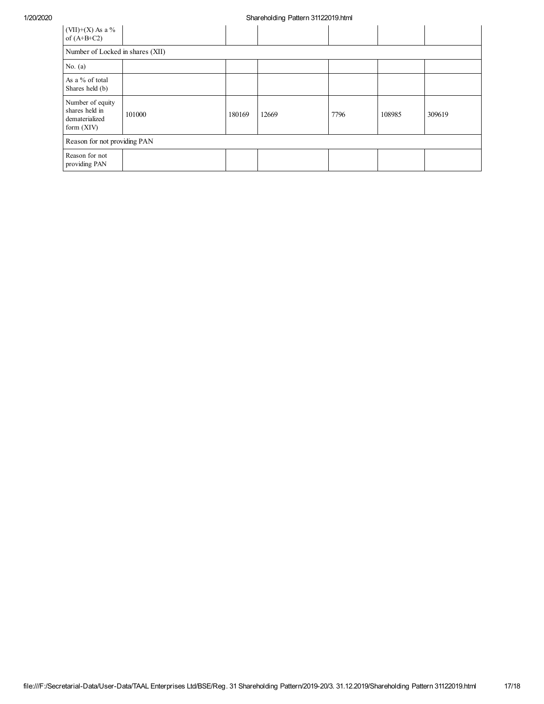## 1/20/2020 Shareholding Pattern 31122019.html

| (VII)+(X) As a $\%$<br>of $(A+B+C2)$                                 |        |        |       |      |        |        |  |  |  |
|----------------------------------------------------------------------|--------|--------|-------|------|--------|--------|--|--|--|
| Number of Locked in shares (XII)                                     |        |        |       |      |        |        |  |  |  |
| No. $(a)$                                                            |        |        |       |      |        |        |  |  |  |
| As a % of total<br>Shares held (b)                                   |        |        |       |      |        |        |  |  |  |
| Number of equity<br>shares held in<br>dematerialized<br>form $(XIV)$ | 101000 | 180169 | 12669 | 7796 | 108985 | 309619 |  |  |  |
| Reason for not providing PAN                                         |        |        |       |      |        |        |  |  |  |
| Reason for not<br>providing PAN                                      |        |        |       |      |        |        |  |  |  |